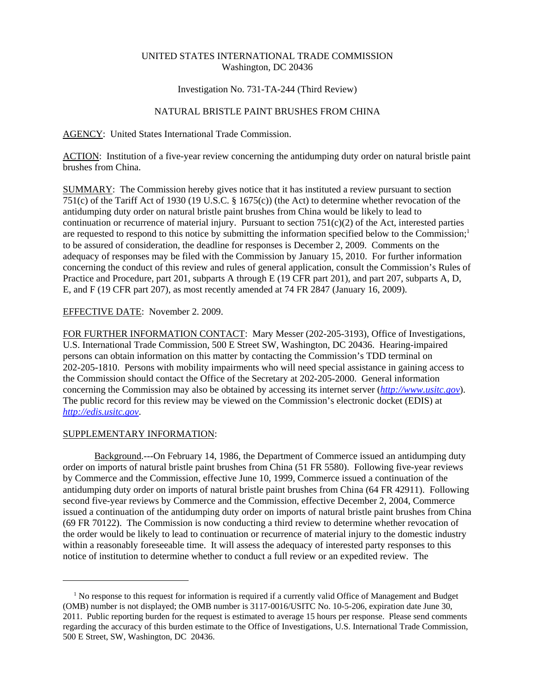## UNITED STATES INTERNATIONAL TRADE COMMISSION Washington, DC 20436

## Investigation No. 731-TA-244 (Third Review)

# NATURAL BRISTLE PAINT BRUSHES FROM CHINA

AGENCY: United States International Trade Commission.

ACTION: Institution of a five-year review concerning the antidumping duty order on natural bristle paint brushes from China.

SUMMARY: The Commission hereby gives notice that it has instituted a review pursuant to section 751(c) of the Tariff Act of 1930 (19 U.S.C. § 1675(c)) (the Act) to determine whether revocation of the antidumping duty order on natural bristle paint brushes from China would be likely to lead to continuation or recurrence of material injury. Pursuant to section  $751(c)(2)$  of the Act, interested parties are requested to respond to this notice by submitting the information specified below to the Commission;<sup>1</sup> to be assured of consideration, the deadline for responses is December 2, 2009. Comments on the adequacy of responses may be filed with the Commission by January 15, 2010. For further information concerning the conduct of this review and rules of general application, consult the Commission's Rules of Practice and Procedure, part 201, subparts A through E (19 CFR part 201), and part 207, subparts A, D, E, and F (19 CFR part 207), as most recently amended at 74 FR 2847 (January 16, 2009).

## EFFECTIVE DATE: November 2. 2009.

FOR FURTHER INFORMATION CONTACT: Mary Messer (202-205-3193), Office of Investigations, U.S. International Trade Commission, 500 E Street SW, Washington, DC 20436. Hearing-impaired persons can obtain information on this matter by contacting the Commission's TDD terminal on 202-205-1810. Persons with mobility impairments who will need special assistance in gaining access to the Commission should contact the Office of the Secretary at 202-205-2000. General information concerning the Commission may also be obtained by accessing its internet server (*http://www.usitc.gov*). The public record for this review may be viewed on the Commission's electronic docket (EDIS) at *http://edis.usitc.gov*.

#### SUPPLEMENTARY INFORMATION:

Background.---On February 14, 1986, the Department of Commerce issued an antidumping duty order on imports of natural bristle paint brushes from China (51 FR 5580). Following five-year reviews by Commerce and the Commission, effective June 10, 1999, Commerce issued a continuation of the antidumping duty order on imports of natural bristle paint brushes from China (64 FR 42911). Following second five-year reviews by Commerce and the Commission, effective December 2, 2004, Commerce issued a continuation of the antidumping duty order on imports of natural bristle paint brushes from China (69 FR 70122). The Commission is now conducting a third review to determine whether revocation of the order would be likely to lead to continuation or recurrence of material injury to the domestic industry within a reasonably foreseeable time. It will assess the adequacy of interested party responses to this notice of institution to determine whether to conduct a full review or an expedited review. The

<sup>&</sup>lt;sup>1</sup> No response to this request for information is required if a currently valid Office of Management and Budget (OMB) number is not displayed; the OMB number is 3117-0016/USITC No. 10-5-206, expiration date June 30, 2011. Public reporting burden for the request is estimated to average 15 hours per response. Please send comments regarding the accuracy of this burden estimate to the Office of Investigations, U.S. International Trade Commission, 500 E Street, SW, Washington, DC 20436.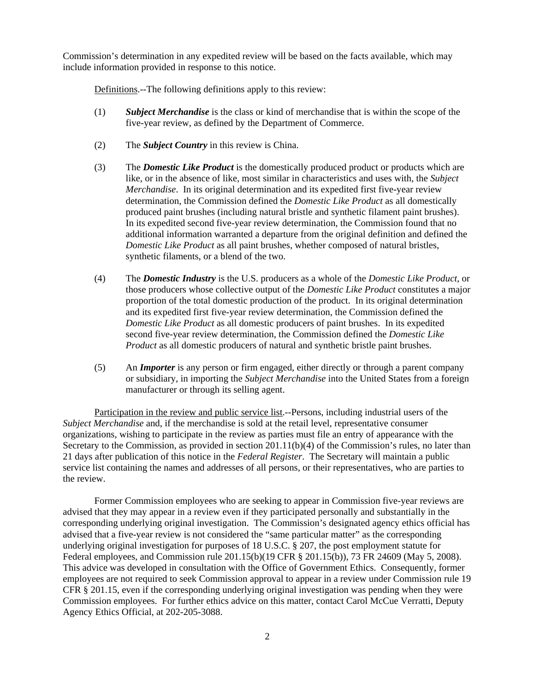Commission's determination in any expedited review will be based on the facts available, which may include information provided in response to this notice.

Definitions.--The following definitions apply to this review:

- (1) *Subject Merchandise* is the class or kind of merchandise that is within the scope of the five-year review, as defined by the Department of Commerce.
- (2) The *Subject Country* in this review is China.
- (3) The *Domestic Like Product* is the domestically produced product or products which are like, or in the absence of like, most similar in characteristics and uses with, the *Subject Merchandise*. In its original determination and its expedited first five-year review determination, the Commission defined the *Domestic Like Product* as all domestically produced paint brushes (including natural bristle and synthetic filament paint brushes). In its expedited second five-year review determination, the Commission found that no additional information warranted a departure from the original definition and defined the *Domestic Like Product* as all paint brushes, whether composed of natural bristles, synthetic filaments, or a blend of the two.
- (4) The *Domestic Industry* is the U.S. producers as a whole of the *Domestic Like Product*, or those producers whose collective output of the *Domestic Like Product* constitutes a major proportion of the total domestic production of the product. In its original determination and its expedited first five-year review determination, the Commission defined the *Domestic Like Product* as all domestic producers of paint brushes. In its expedited second five-year review determination, the Commission defined the *Domestic Like Product* as all domestic producers of natural and synthetic bristle paint brushes.
- (5) An *Importer* is any person or firm engaged, either directly or through a parent company or subsidiary, in importing the *Subject Merchandise* into the United States from a foreign manufacturer or through its selling agent.

Participation in the review and public service list.--Persons, including industrial users of the *Subject Merchandise* and, if the merchandise is sold at the retail level, representative consumer organizations, wishing to participate in the review as parties must file an entry of appearance with the Secretary to the Commission, as provided in section 201.11(b)(4) of the Commission's rules, no later than 21 days after publication of this notice in the *Federal Register*. The Secretary will maintain a public service list containing the names and addresses of all persons, or their representatives, who are parties to the review.

Former Commission employees who are seeking to appear in Commission five-year reviews are advised that they may appear in a review even if they participated personally and substantially in the corresponding underlying original investigation. The Commission's designated agency ethics official has advised that a five-year review is not considered the "same particular matter" as the corresponding underlying original investigation for purposes of 18 U.S.C. § 207, the post employment statute for Federal employees, and Commission rule 201.15(b)(19 CFR § 201.15(b)), 73 FR 24609 (May 5, 2008). This advice was developed in consultation with the Office of Government Ethics. Consequently, former employees are not required to seek Commission approval to appear in a review under Commission rule 19 CFR § 201.15, even if the corresponding underlying original investigation was pending when they were Commission employees. For further ethics advice on this matter, contact Carol McCue Verratti, Deputy Agency Ethics Official, at 202-205-3088.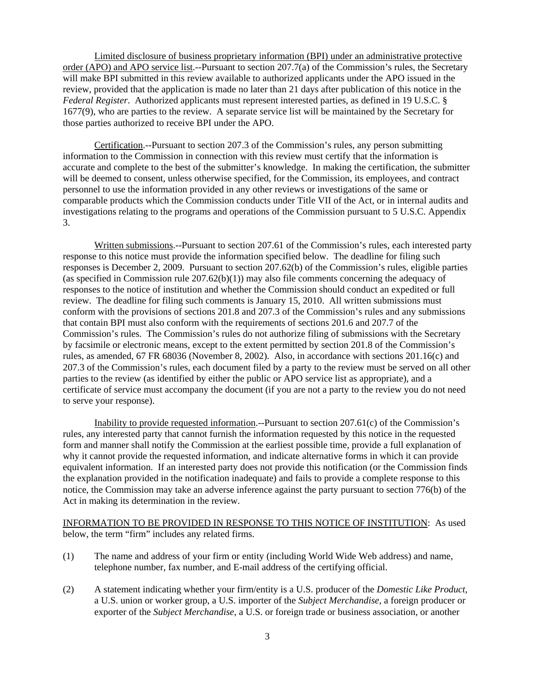Limited disclosure of business proprietary information (BPI) under an administrative protective order (APO) and APO service list.--Pursuant to section 207.7(a) of the Commission's rules, the Secretary will make BPI submitted in this review available to authorized applicants under the APO issued in the review, provided that the application is made no later than 21 days after publication of this notice in the *Federal Register*. Authorized applicants must represent interested parties, as defined in 19 U.S.C. § 1677(9), who are parties to the review. A separate service list will be maintained by the Secretary for those parties authorized to receive BPI under the APO.

Certification.--Pursuant to section 207.3 of the Commission's rules, any person submitting information to the Commission in connection with this review must certify that the information is accurate and complete to the best of the submitter's knowledge. In making the certification, the submitter will be deemed to consent, unless otherwise specified, for the Commission, its employees, and contract personnel to use the information provided in any other reviews or investigations of the same or comparable products which the Commission conducts under Title VII of the Act, or in internal audits and investigations relating to the programs and operations of the Commission pursuant to 5 U.S.C. Appendix 3.

Written submissions.--Pursuant to section 207.61 of the Commission's rules, each interested party response to this notice must provide the information specified below. The deadline for filing such responses is December 2, 2009. Pursuant to section 207.62(b) of the Commission's rules, eligible parties (as specified in Commission rule  $207.62(b)(1)$ ) may also file comments concerning the adequacy of responses to the notice of institution and whether the Commission should conduct an expedited or full review. The deadline for filing such comments is January 15, 2010. All written submissions must conform with the provisions of sections 201.8 and 207.3 of the Commission's rules and any submissions that contain BPI must also conform with the requirements of sections 201.6 and 207.7 of the Commission's rules. The Commission's rules do not authorize filing of submissions with the Secretary by facsimile or electronic means, except to the extent permitted by section 201.8 of the Commission's rules, as amended, 67 FR 68036 (November 8, 2002). Also, in accordance with sections 201.16(c) and 207.3 of the Commission's rules, each document filed by a party to the review must be served on all other parties to the review (as identified by either the public or APO service list as appropriate), and a certificate of service must accompany the document (if you are not a party to the review you do not need to serve your response).

Inability to provide requested information.--Pursuant to section 207.61(c) of the Commission's rules, any interested party that cannot furnish the information requested by this notice in the requested form and manner shall notify the Commission at the earliest possible time, provide a full explanation of why it cannot provide the requested information, and indicate alternative forms in which it can provide equivalent information. If an interested party does not provide this notification (or the Commission finds the explanation provided in the notification inadequate) and fails to provide a complete response to this notice, the Commission may take an adverse inference against the party pursuant to section 776(b) of the Act in making its determination in the review.

INFORMATION TO BE PROVIDED IN RESPONSE TO THIS NOTICE OF INSTITUTION: As used below, the term "firm" includes any related firms.

- (1) The name and address of your firm or entity (including World Wide Web address) and name, telephone number, fax number, and E-mail address of the certifying official.
- (2) A statement indicating whether your firm/entity is a U.S. producer of the *Domestic Like Product*, a U.S. union or worker group, a U.S. importer of the *Subject Merchandise*, a foreign producer or exporter of the *Subject Merchandise*, a U.S. or foreign trade or business association, or another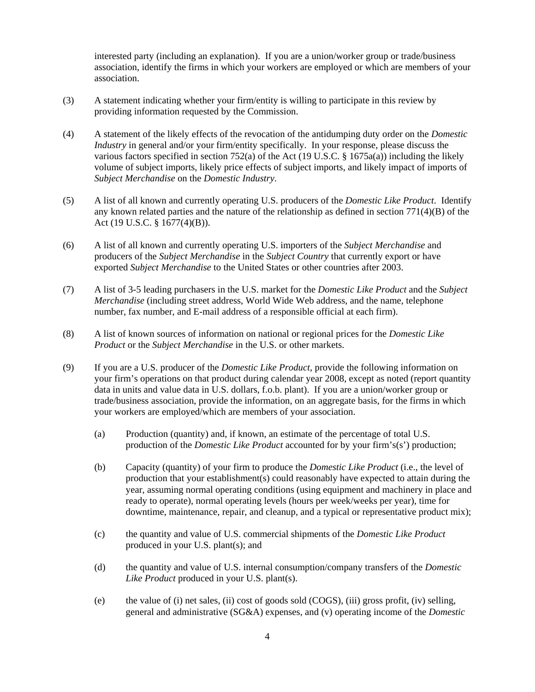interested party (including an explanation). If you are a union/worker group or trade/business association, identify the firms in which your workers are employed or which are members of your association.

- (3) A statement indicating whether your firm/entity is willing to participate in this review by providing information requested by the Commission.
- (4) A statement of the likely effects of the revocation of the antidumping duty order on the *Domestic Industry* in general and/or your firm/entity specifically. In your response, please discuss the various factors specified in section 752(a) of the Act (19 U.S.C. § 1675a(a)) including the likely volume of subject imports, likely price effects of subject imports, and likely impact of imports of *Subject Merchandise* on the *Domestic Industry*.
- (5) A list of all known and currently operating U.S. producers of the *Domestic Like Product*. Identify any known related parties and the nature of the relationship as defined in section  $771(4)(B)$  of the Act (19 U.S.C. § 1677(4)(B)).
- (6) A list of all known and currently operating U.S. importers of the *Subject Merchandise* and producers of the *Subject Merchandise* in the *Subject Country* that currently export or have exported *Subject Merchandise* to the United States or other countries after 2003.
- (7) A list of 3-5 leading purchasers in the U.S. market for the *Domestic Like Product* and the *Subject Merchandise* (including street address, World Wide Web address, and the name, telephone number, fax number, and E-mail address of a responsible official at each firm).
- (8) A list of known sources of information on national or regional prices for the *Domestic Like Product* or the *Subject Merchandise* in the U.S. or other markets.
- (9) If you are a U.S. producer of the *Domestic Like Product*, provide the following information on your firm's operations on that product during calendar year 2008, except as noted (report quantity data in units and value data in U.S. dollars, f.o.b. plant). If you are a union/worker group or trade/business association, provide the information, on an aggregate basis, for the firms in which your workers are employed/which are members of your association.
	- (a) Production (quantity) and, if known, an estimate of the percentage of total U.S. production of the *Domestic Like Product* accounted for by your firm's(s') production;
	- (b) Capacity (quantity) of your firm to produce the *Domestic Like Product* (i.e., the level of production that your establishment(s) could reasonably have expected to attain during the year, assuming normal operating conditions (using equipment and machinery in place and ready to operate), normal operating levels (hours per week/weeks per year), time for downtime, maintenance, repair, and cleanup, and a typical or representative product mix);
	- (c) the quantity and value of U.S. commercial shipments of the *Domestic Like Product* produced in your U.S. plant(s); and
	- (d) the quantity and value of U.S. internal consumption/company transfers of the *Domestic Like Product* produced in your U.S. plant(s).
	- (e) the value of (i) net sales, (ii) cost of goods sold (COGS), (iii) gross profit, (iv) selling, general and administrative (SG&A) expenses, and (v) operating income of the *Domestic*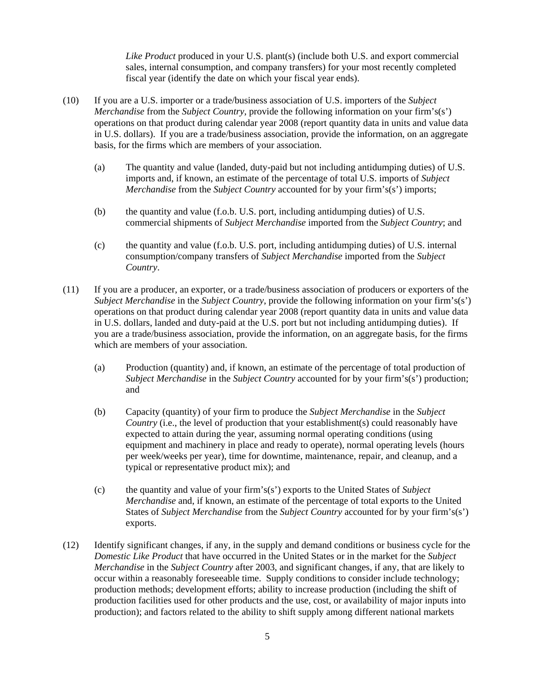*Like Product* produced in your U.S. plant(s) (include both U.S. and export commercial sales, internal consumption, and company transfers) for your most recently completed fiscal year (identify the date on which your fiscal year ends).

- (10) If you are a U.S. importer or a trade/business association of U.S. importers of the *Subject Merchandise* from the *Subject Country*, provide the following information on your firm's(s') operations on that product during calendar year 2008 (report quantity data in units and value data in U.S. dollars). If you are a trade/business association, provide the information, on an aggregate basis, for the firms which are members of your association.
	- (a) The quantity and value (landed, duty-paid but not including antidumping duties) of U.S. imports and, if known, an estimate of the percentage of total U.S. imports of *Subject Merchandise* from the *Subject Country* accounted for by your firm's(s') imports;
	- (b) the quantity and value (f.o.b. U.S. port, including antidumping duties) of U.S. commercial shipments of *Subject Merchandise* imported from the *Subject Country*; and
	- (c) the quantity and value (f.o.b. U.S. port, including antidumping duties) of U.S. internal consumption/company transfers of *Subject Merchandise* imported from the *Subject Country*.
- (11) If you are a producer, an exporter, or a trade/business association of producers or exporters of the *Subject Merchandise* in the *Subject Country*, provide the following information on your firm's(s') operations on that product during calendar year 2008 (report quantity data in units and value data in U.S. dollars, landed and duty-paid at the U.S. port but not including antidumping duties). If you are a trade/business association, provide the information, on an aggregate basis, for the firms which are members of your association.
	- (a) Production (quantity) and, if known, an estimate of the percentage of total production of *Subject Merchandise* in the *Subject Country* accounted for by your firm's(s') production; and
	- (b) Capacity (quantity) of your firm to produce the *Subject Merchandise* in the *Subject Country* (i.e., the level of production that your establishment(s) could reasonably have expected to attain during the year, assuming normal operating conditions (using equipment and machinery in place and ready to operate), normal operating levels (hours per week/weeks per year), time for downtime, maintenance, repair, and cleanup, and a typical or representative product mix); and
	- (c) the quantity and value of your firm's(s') exports to the United States of *Subject Merchandise* and, if known, an estimate of the percentage of total exports to the United States of *Subject Merchandise* from the *Subject Country* accounted for by your firm's(s') exports.
- (12) Identify significant changes, if any, in the supply and demand conditions or business cycle for the *Domestic Like Product* that have occurred in the United States or in the market for the *Subject Merchandise* in the *Subject Country* after 2003, and significant changes, if any, that are likely to occur within a reasonably foreseeable time. Supply conditions to consider include technology; production methods; development efforts; ability to increase production (including the shift of production facilities used for other products and the use, cost, or availability of major inputs into production); and factors related to the ability to shift supply among different national markets